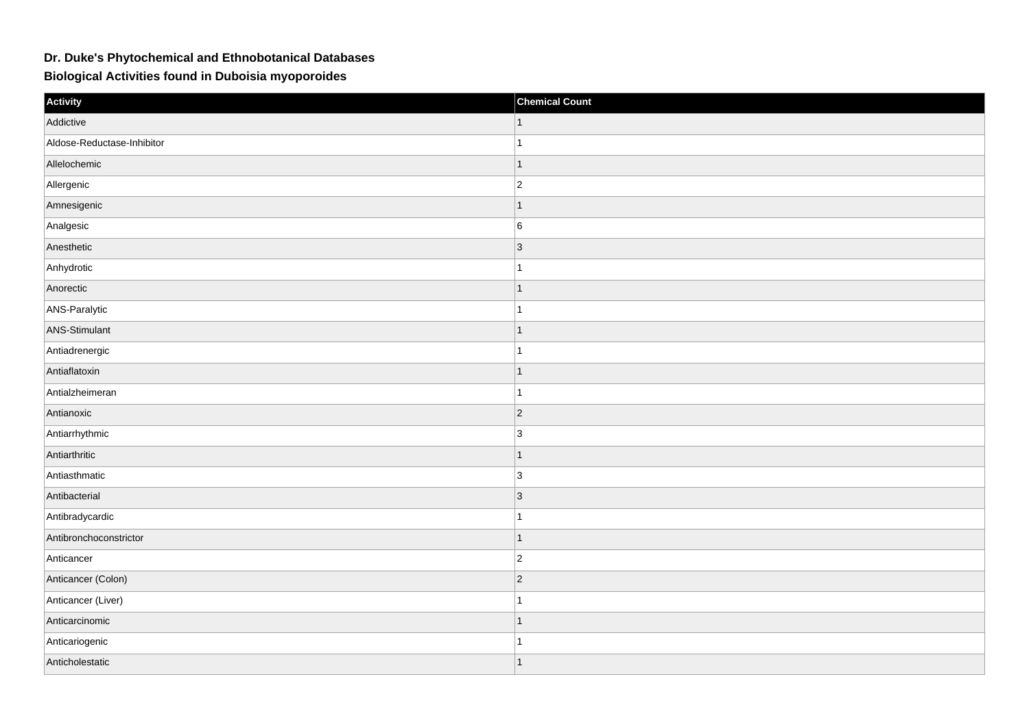## **Dr. Duke's Phytochemical and Ethnobotanical Databases**

**Biological Activities found in Duboisia myoporoides**

| Activity                   | <b>Chemical Count</b> |
|----------------------------|-----------------------|
| Addictive                  |                       |
| Aldose-Reductase-Inhibitor |                       |
| Allelochemic               | $\mathbf{1}$          |
| Allergenic                 | $ 2\rangle$           |
| Amnesigenic                | $\mathbf{1}$          |
| Analgesic                  | 6                     |
| Anesthetic                 | $ 3\rangle$           |
| Anhydrotic                 |                       |
| Anorectic                  | $\overline{1}$        |
| ANS-Paralytic              | $\overline{1}$        |
| ANS-Stimulant              | $\mathbf{1}$          |
| Antiadrenergic             | 1                     |
| Antiaflatoxin              | $\overline{1}$        |
| Antialzheimeran            | $\overline{1}$        |
| Antianoxic                 | $ 2\rangle$           |
| Antiarrhythmic             | 3                     |
| Antiarthritic              | $\mathbf{1}$          |
| Antiasthmatic              | 3                     |
| Antibacterial              | $\vert$ 3             |
| Antibradycardic            | -1                    |
| Antibronchoconstrictor     | $\overline{1}$        |
| Anticancer                 | $\overline{2}$        |
| Anticancer (Colon)         | $\overline{2}$        |
| Anticancer (Liver)         |                       |
| Anticarcinomic             | $\mathbf{1}$          |
| Anticariogenic             | $\mathbf{1}$          |
| Anticholestatic            | $\overline{1}$        |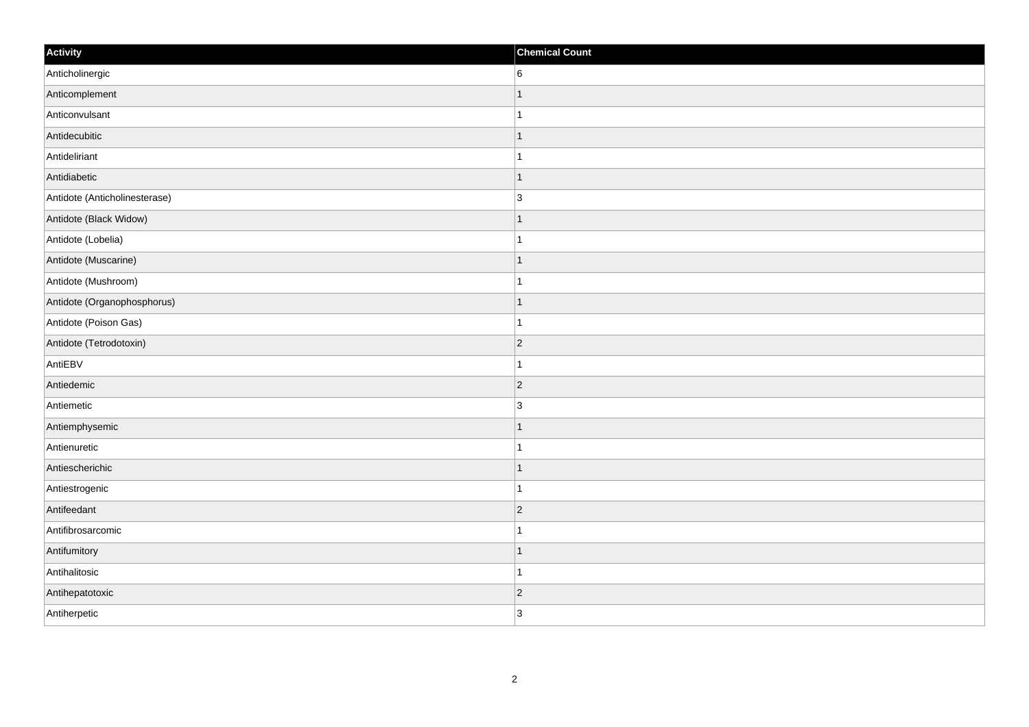| Activity                      | <b>Chemical Count</b> |
|-------------------------------|-----------------------|
| Anticholinergic               | 6                     |
| Anticomplement                | $\overline{1}$        |
| Anticonvulsant                | $\mathbf{1}$          |
| Antidecubitic                 | $\mathbf{1}$          |
| Antideliriant                 | $\mathbf{1}$          |
| Antidiabetic                  | $\mathbf{1}$          |
| Antidote (Anticholinesterase) | 3                     |
| Antidote (Black Widow)        | $\mathbf 1$           |
| Antidote (Lobelia)            | $\mathbf 1$           |
| Antidote (Muscarine)          | $\vert$ 1             |
| Antidote (Mushroom)           | $\mathbf{1}$          |
| Antidote (Organophosphorus)   | $\mathbf{1}$          |
| Antidote (Poison Gas)         | $\mathbf{1}$          |
| Antidote (Tetrodotoxin)       | $\overline{2}$        |
| AntiEBV                       | $\mathbf{1}$          |
| Antiedemic                    | $ 2\rangle$           |
| Antiemetic                    | 3                     |
| Antiemphysemic                | $\mathbf{1}$          |
| Antienuretic                  | $\mathbf{1}$          |
| Antiescherichic               | $\mathbf{1}$          |
| Antiestrogenic                | $\mathbf{1}$          |
| Antifeedant                   | $ 2\rangle$           |
| Antifibrosarcomic             | $\mathbf{1}$          |
| Antifumitory                  | $\mathbf{1}$          |
| Antihalitosic                 | $\mathbf{1}$          |
| Antihepatotoxic               | $\vert$ 2             |
| Antiherpetic                  | 3                     |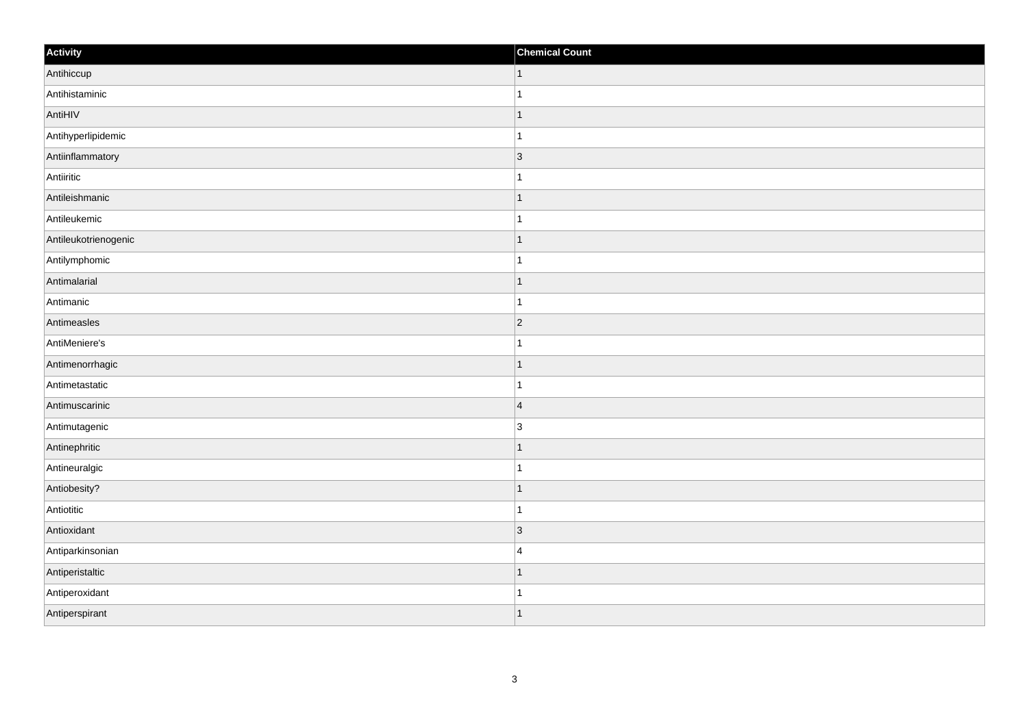| Activity             | <b>Chemical Count</b> |
|----------------------|-----------------------|
| Antihiccup           | $\vert$ 1             |
| Antihistaminic       | $\mathbf{1}$          |
| AntiHIV              | $\overline{1}$        |
| Antihyperlipidemic   | $\mathbf{1}$          |
| Antiinflammatory     | $\vert$ 3             |
| Antiiritic           | -1                    |
| Antileishmanic       | $\mathbf{1}$          |
| Antileukemic         | $\mathbf{1}$          |
| Antileukotrienogenic | $\overline{1}$        |
| Antilymphomic        | $\mathbf{1}$          |
| Antimalarial         | $\mathbf{1}$          |
| Antimanic            | $\overline{1}$        |
| Antimeasles          | 2                     |
| AntiMeniere's        | $\mathbf{1}$          |
| Antimenorrhagic      | $\overline{1}$        |
| Antimetastatic       | $\mathbf{1}$          |
| Antimuscarinic       | $\vert$ 4             |
| Antimutagenic        | 3                     |
| Antinephritic        | $\vert$ 1             |
| Antineuralgic        | $\mathbf{1}$          |
| Antiobesity?         | $\overline{1}$        |
| Antiotitic           | $\overline{1}$        |
| Antioxidant          | $\vert 3 \vert$       |
| Antiparkinsonian     | $\overline{4}$        |
| Antiperistaltic      | $\overline{1}$        |
| Antiperoxidant       | $\mathbf{1}$          |
| Antiperspirant       | $\mathbf{1}$          |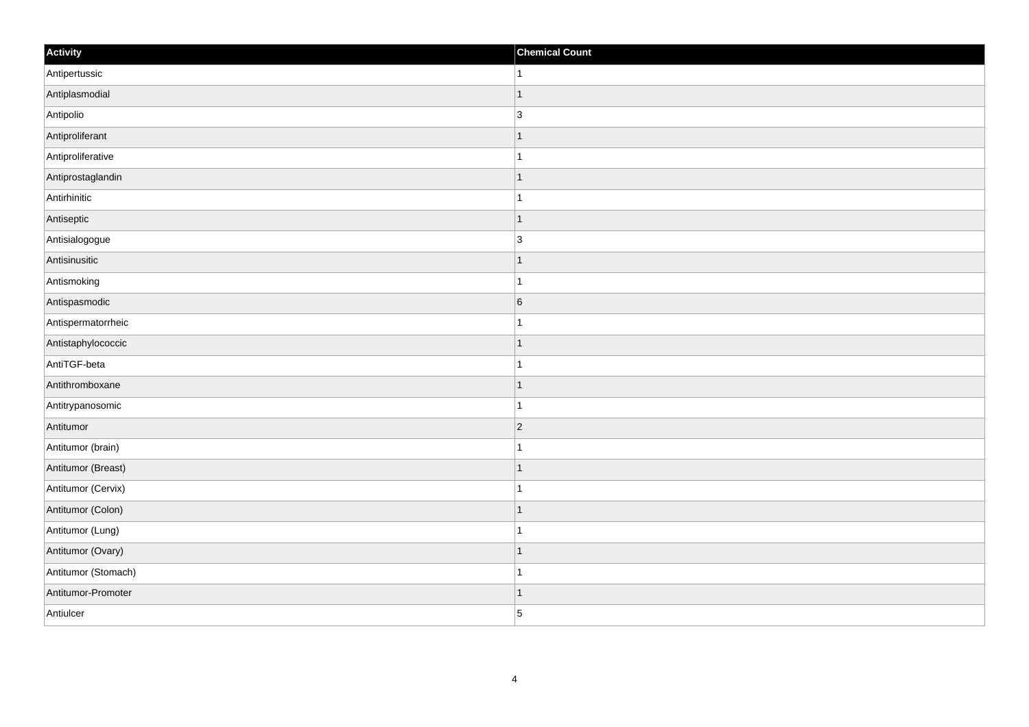| Activity            | <b>Chemical Count</b> |
|---------------------|-----------------------|
| Antipertussic       | $\mathbf{1}$          |
| Antiplasmodial      | $\mathbf 1$           |
| Antipolio           | $\overline{3}$        |
| Antiproliferant     | $\mathbf{1}$          |
| Antiproliferative   | $\mathbf{1}$          |
| Antiprostaglandin   | $\mathbf 1$           |
| Antirhinitic        |                       |
| Antiseptic          | $\mathbf 1$           |
| Antisialogogue      | 3                     |
| Antisinusitic       | $\mathbf{1}$          |
| Antismoking         | $\mathbf 1$           |
| Antispasmodic       | 6                     |
| Antispermatorrheic  | -1                    |
| Antistaphylococcic  | $\overline{1}$        |
| AntiTGF-beta        | $\overline{1}$        |
| Antithromboxane     | $\mathbf{1}$          |
| Antitrypanosomic    | 1                     |
| Antitumor           | $ 2\rangle$           |
| Antitumor (brain)   | 1                     |
| Antitumor (Breast)  | $\mathbf{1}$          |
| Antitumor (Cervix)  | -1                    |
| Antitumor (Colon)   | $\mathbf 1$           |
| Antitumor (Lung)    | $\mathbf{1}$          |
| Antitumor (Ovary)   | $\mathbf 1$           |
| Antitumor (Stomach) | $\vert$ 1             |
| Antitumor-Promoter  | $\overline{1}$        |
| Antiulcer           | 5                     |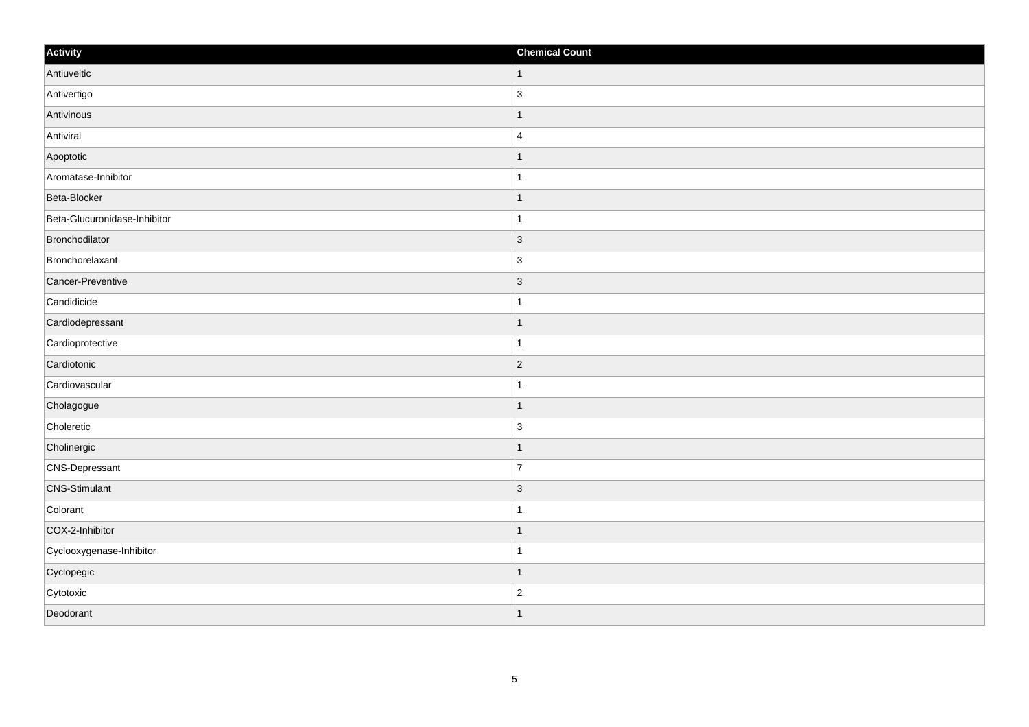| Activity                     | <b>Chemical Count</b>    |
|------------------------------|--------------------------|
| Antiuveitic                  | $\vert$ 1                |
| Antivertigo                  | 3                        |
| Antivinous                   |                          |
| Antiviral                    | $\overline{4}$           |
| Apoptotic                    |                          |
| Aromatase-Inhibitor          |                          |
| Beta-Blocker                 | $\overline{\phantom{a}}$ |
| Beta-Glucuronidase-Inhibitor | 1                        |
| Bronchodilator               | $\vert$ 3                |
| Bronchorelaxant              | 3                        |
| Cancer-Preventive            | $\overline{3}$           |
| Candidicide                  |                          |
| Cardiodepressant             | 1                        |
| Cardioprotective             | 1                        |
| Cardiotonic                  | $\vert$ 2                |
| Cardiovascular               |                          |
| Cholagogue                   |                          |
| Choleretic                   | 3                        |
| Cholinergic                  | 1                        |
| CNS-Depressant               | $\overline{7}$           |
| <b>CNS-Stimulant</b>         | $\vert 3 \vert$          |
| Colorant                     |                          |
| COX-2-Inhibitor              |                          |
| Cyclooxygenase-Inhibitor     |                          |
| Cyclopegic                   |                          |
| Cytotoxic                    | $\overline{2}$           |
| Deodorant                    |                          |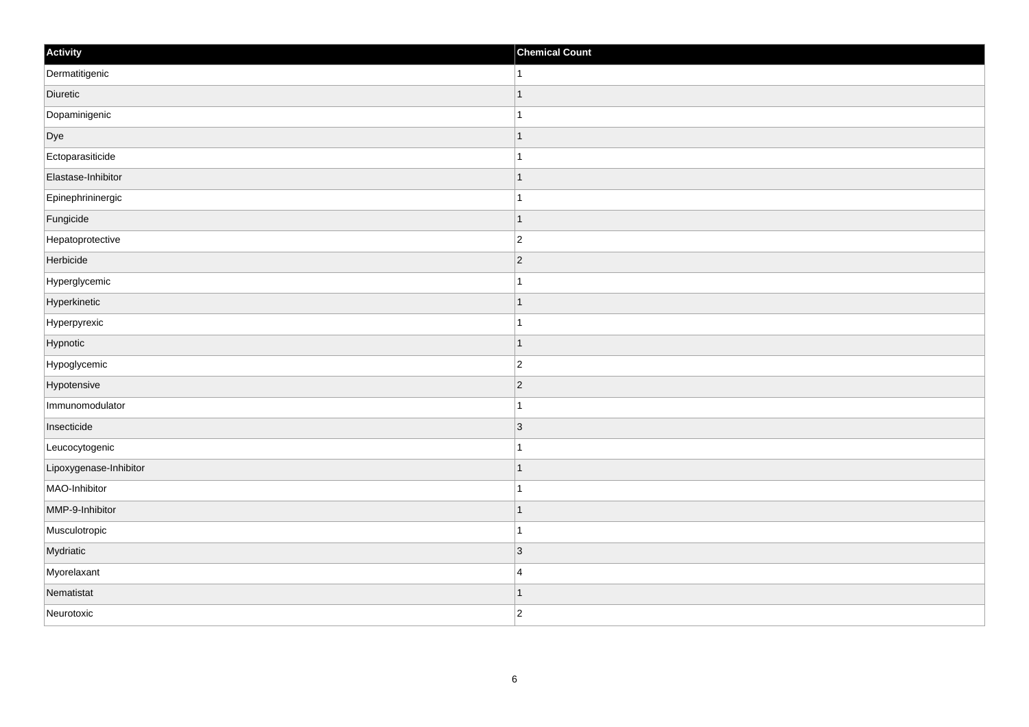| Activity               | <b>Chemical Count</b> |
|------------------------|-----------------------|
| Dermatitigenic         | $\vert$ 1             |
| Diuretic               | $\mathbf{1}$          |
| Dopaminigenic          |                       |
| Dye                    | $\mathbf{1}$          |
| Ectoparasiticide       | $\mathbf{1}$          |
| Elastase-Inhibitor     | -1                    |
| Epinephrininergic      | $\mathbf{1}$          |
| Fungicide              | $\mathbf 1$           |
| Hepatoprotective       | $ 2\rangle$           |
| Herbicide              | $ 2\rangle$           |
| Hyperglycemic          | $\mathbf 1$           |
| Hyperkinetic           | $\overline{1}$        |
| Hyperpyrexic           | $\mathbf{1}$          |
| Hypnotic               | 1                     |
| Hypoglycemic           | $\overline{c}$        |
| Hypotensive            | $ 2\rangle$           |
| Immunomodulator        | 1                     |
| Insecticide            | 3                     |
| Leucocytogenic         | $\mathbf{1}$          |
| Lipoxygenase-Inhibitor | $\mathbf 1$           |
| MAO-Inhibitor          | $\mathbf{1}$          |
| MMP-9-Inhibitor        | $\mathbf{1}$          |
| Musculotropic          | $\mathbf{1}$          |
| Mydriatic              | $ 3\rangle$           |
| Myorelaxant            | $\overline{4}$        |
| Nematistat             | $\mathbf{1}$          |
| Neurotoxic             | $\overline{2}$        |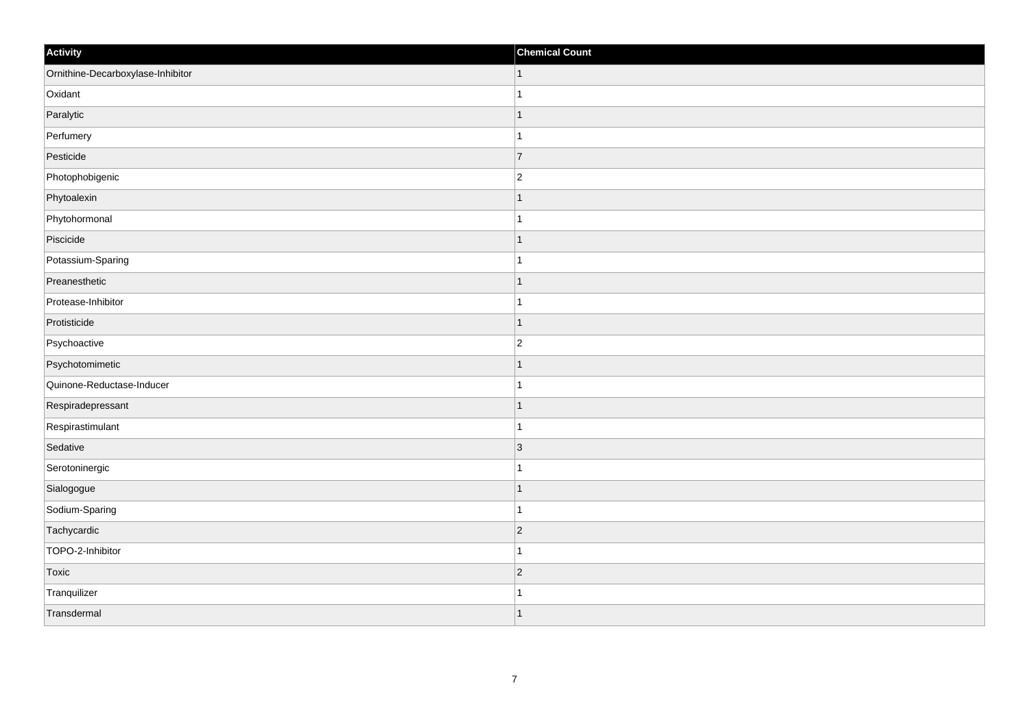| Activity                          | <b>Chemical Count</b>   |
|-----------------------------------|-------------------------|
| Ornithine-Decarboxylase-Inhibitor | $\mathbf{1}$            |
| Oxidant                           | $\overline{ }$          |
| Paralytic                         | $\mathbf{1}$            |
| Perfumery                         | $\overline{1}$          |
| Pesticide                         | $\overline{7}$          |
| Photophobigenic                   | $\overline{2}$          |
| Phytoalexin                       | $\mathbf{1}$            |
| Phytohormonal                     | $\overline{1}$          |
| Piscicide                         | $\mathbf 1$             |
| Potassium-Sparing                 | $\overline{1}$          |
| Preanesthetic                     | $\overline{1}$          |
| Protease-Inhibitor                |                         |
| Protisticide                      | $\mathbf{1}$            |
| Psychoactive                      | $\overline{2}$          |
| Psychotomimetic                   |                         |
| Quinone-Reductase-Inducer         |                         |
| Respiradepressant                 | $\overline{1}$          |
| Respirastimulant                  | $\overline{\mathbf{A}}$ |
| Sedative                          | $\vert$ 3               |
| Serotoninergic                    | 1                       |
| Sialogogue                        | $\overline{1}$          |
| Sodium-Sparing                    | $\overline{1}$          |
| Tachycardic                       | $ 2\rangle$             |
| TOPO-2-Inhibitor                  | $\overline{ }$          |
| Toxic                             | $\vert$ 2               |
| Tranquilizer                      | 1                       |
| Transdermal                       | $\mathbf{1}$            |